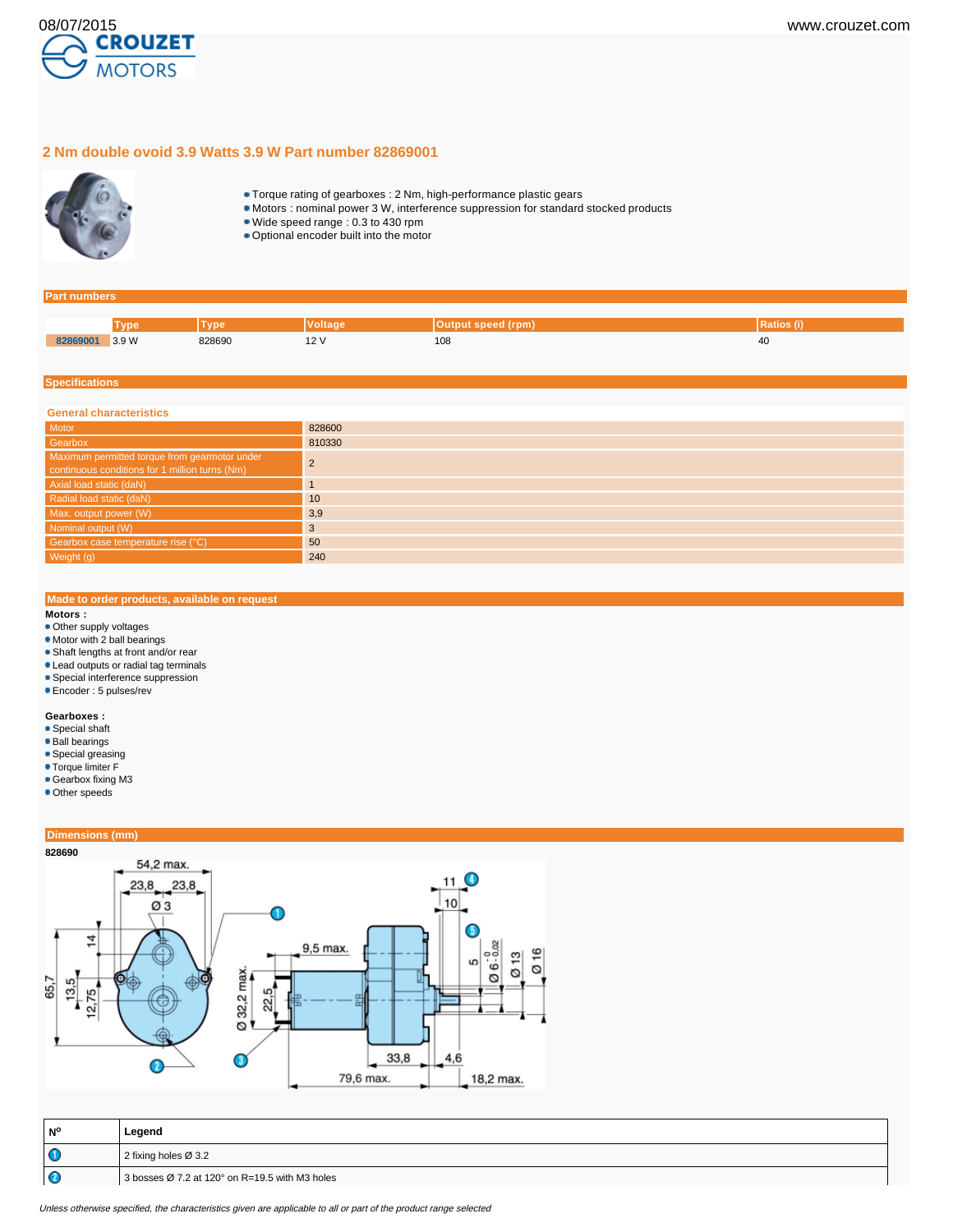

# **2 Nm double ovoid 3.9 Watts 3.9 W Part number 82869001**



- Torque rating of gearboxes : 2 Nm, high-performance plastic gears
- Motors : nominal power 3 W, interference suppression for standard stocked products
- Wide speed range : 0.3 to 430 rpm
- Optional encoder built into the motor

#### **Part numbers**

|          | <b>Mno</b> | 7n          | ′oltaɑe | Output speed (rpm) | rauos |
|----------|------------|-------------|---------|--------------------|-------|
| 82869001 | 3.9W<br>.  | 828690<br>. | . .     | 108<br>$-$         | 40    |

#### **Specifications**

| <b>General characteristics</b>                                                                  |        |  |  |  |
|-------------------------------------------------------------------------------------------------|--------|--|--|--|
| Motor                                                                                           | 828600 |  |  |  |
| Gearbox                                                                                         | 810330 |  |  |  |
| Maximum permitted torque from gearmotor under<br>continuous conditions for 1 million turns (Nm) |        |  |  |  |
| Axial load static (daN)                                                                         |        |  |  |  |
| Radial load static (daN)                                                                        | 10     |  |  |  |
| Max. output power (W)                                                                           | 3,9    |  |  |  |
| Nominal output (W)                                                                              | 3      |  |  |  |
| Gearbox case temperature rise (°C)                                                              | 50     |  |  |  |
| Weight (g)                                                                                      | 240    |  |  |  |

# **Made to order products, available on request**

### **Motors :**

- Other supply voltages
- Motor with 2 ball bearings
- Shaft lengths at front and/or rear
- Lead outputs or radial tag terminals
- **Special interference suppression**
- Encoder : 5 pulses/rev

#### **Gearboxes :**

- Special shaft
- Ball bearings
- Special greasing
- Torque limiter F
- Gearbox fixing M3
- Other speeds

# **Dimensions (mm)**



| l N°    | Legend                                                               |  |
|---------|----------------------------------------------------------------------|--|
| $\circ$ | 2 fixing holes $\varnothing$ 3.2                                     |  |
| ΙC      | 3 bosses $\varnothing$ 7.2 at 120 $^{\circ}$ on R=19.5 with M3 holes |  |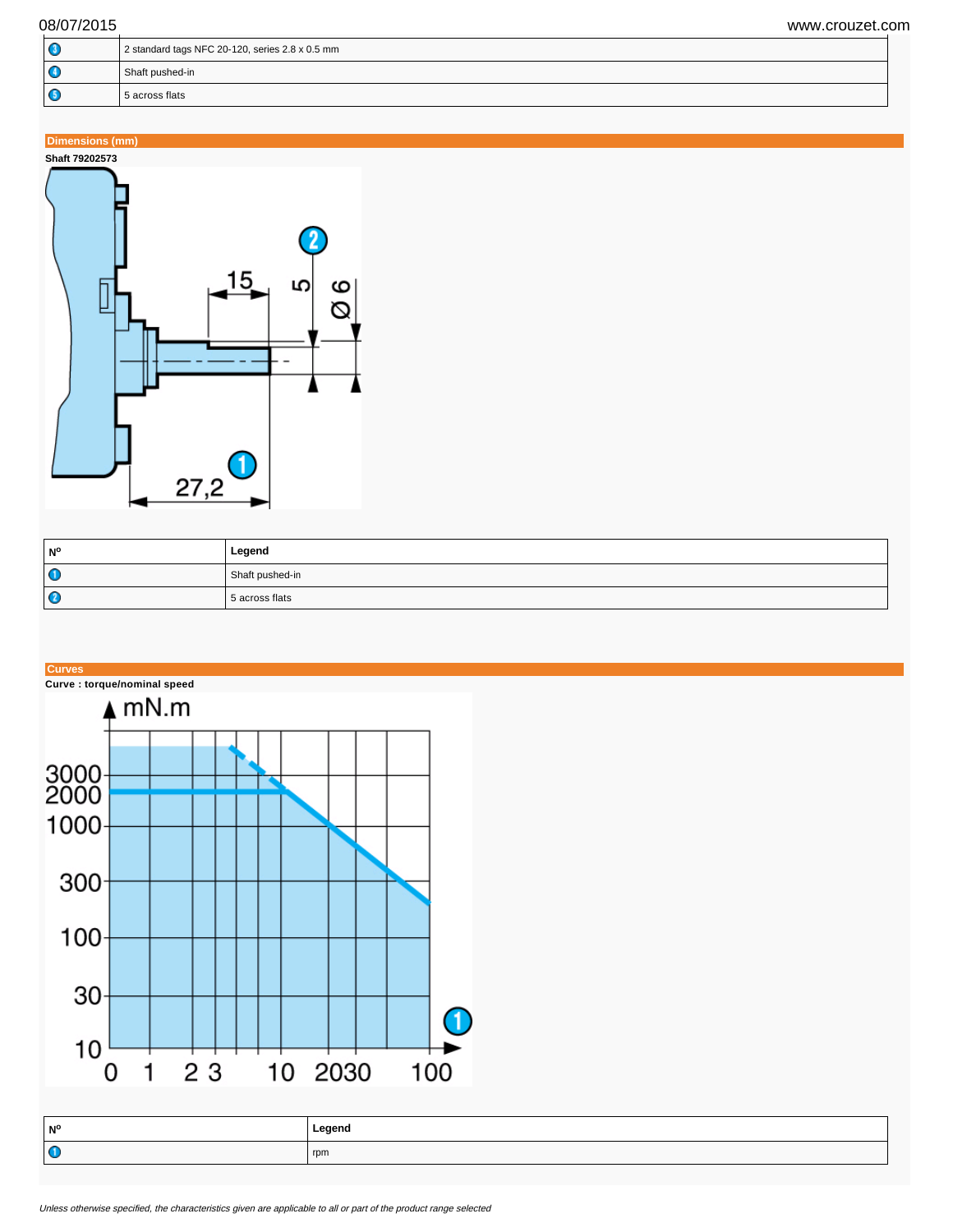| $\circ$ | 2 standard tags NFC 20-120, series 2.8 x 0.5 mm |  |
|---------|-------------------------------------------------|--|
| ۱G      | Shaft pushed-in                                 |  |
| I G     | 5 across flats                                  |  |

# **Dimensions (mm)**



| <b>N°</b> | Legend          |
|-----------|-----------------|
| $\bullet$ | Shaft pushed-in |
| O         | 5 across flats  |